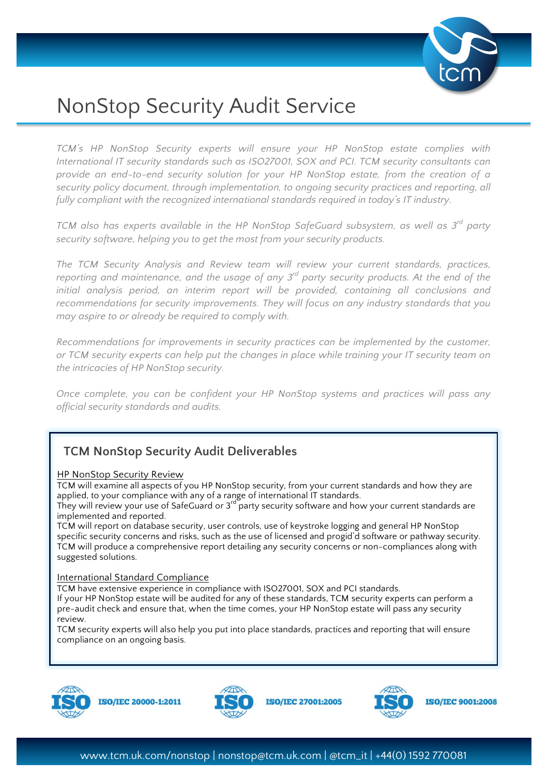

# NonStop Security Audit Service

*TCM's HP NonStop Security experts will ensure your HP NonStop estate complies with International IT security standards such as ISO27001, SOX and PCI. TCM security consultants can provide an end-to-end security solution for your HP NonStop estate, from the creation of a security policy document, through implementation, to ongoing security practices and reporting, all fully compliant with the recognized international standards required in today's IT industry.*

*TCM also has experts available in the HP NonStop SafeGuard subsystem, as well as 3rd party security software, helping you to get the most from your security products.*

*The TCM Security Analysis and Review team will review your current standards, practices, reporting and maintenance, and the usage of any 3rd party security products. At the end of the initial analysis period, an interim report will be provided, containing all conclusions and recommendations for security improvements. They will focus on any industry standards that you may aspire to or already be required to comply with.*

*Recommendations for improvements in security practices can be implemented by the customer, or TCM security experts can help put the changes in place while training your IT security team on the intricacies of HP NonStop security.*

*Once complete, you can be confident your HP NonStop systems and practices will pass any official security standards and audits.*

## **TCM NonStop Security Audit Deliverables**

#### HP NonStop Security Review

TCM will examine all aspects of you HP NonStop security, from your current standards and how they are applied, to your compliance with any of a range of international IT standards.

They will review your use of SafeGuard or 3<sup>rd</sup> party security software and how your current standards are implemented and reported.

TCM will report on database security, user controls, use of keystroke logging and general HP NonStop specific security concerns and risks, such as the use of licensed and progid'd software or pathway security. TCM will produce a comprehensive report detailing any security concerns or non-compliances along with suggested solutions.

#### International Standard Compliance

TCM have extensive experience in compliance with ISO27001, SOX and PCI standards. If your HP NonStop estate will be audited for any of these standards, TCM security experts can perform a pre-audit check and ensure that, when the time comes, your HP NonStop estate will pass any security review.

TCM security experts will also help you put into place standards, practices and reporting that will ensure compliance on an ongoing basis.







**ISO/IEC 9001:2008** 

**ISO/IEC 27001:2005**